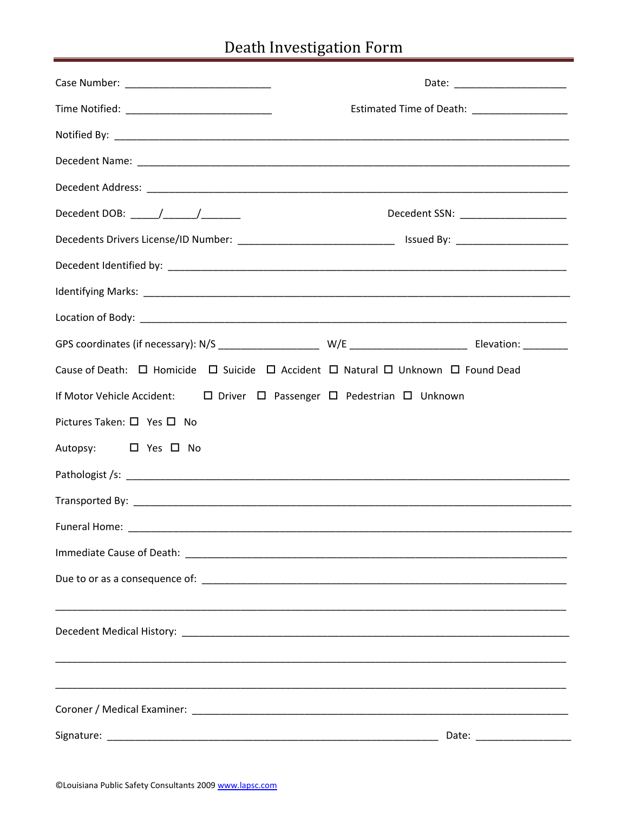# Death Investigation Form

|                                                                                               |                                               | Date: _________________________       |
|-----------------------------------------------------------------------------------------------|-----------------------------------------------|---------------------------------------|
|                                                                                               | Estimated Time of Death: ____________________ |                                       |
|                                                                                               |                                               |                                       |
|                                                                                               |                                               |                                       |
|                                                                                               |                                               |                                       |
|                                                                                               |                                               | Decedent SSN: _______________________ |
|                                                                                               |                                               |                                       |
|                                                                                               |                                               |                                       |
|                                                                                               |                                               |                                       |
|                                                                                               |                                               |                                       |
|                                                                                               |                                               |                                       |
| Cause of Death: □ Homicide □ Suicide □ Accident □ Natural □ Unknown □ Found Dead              |                                               |                                       |
| If Motor Vehicle Accident:<br>$\Box$ Driver $\Box$ Passenger $\Box$ Pedestrian $\Box$ Unknown |                                               |                                       |
| Pictures Taken: □ Yes □ No                                                                    |                                               |                                       |
| Autopsy: □ Yes □ No                                                                           |                                               |                                       |
|                                                                                               |                                               |                                       |
|                                                                                               |                                               |                                       |
| Funeral Home:                                                                                 |                                               |                                       |
|                                                                                               |                                               |                                       |
|                                                                                               |                                               |                                       |
|                                                                                               |                                               |                                       |
|                                                                                               |                                               |                                       |
| ,我们也不能在这里的人,我们也不能在这里的人,我们也不能在这里的人,我们也不能在这里的人,我们也不能在这里的人,我们也不能在这里的人,我们也不能在这里的人,我们也             |                                               |                                       |
|                                                                                               |                                               |                                       |
|                                                                                               |                                               |                                       |
|                                                                                               |                                               |                                       |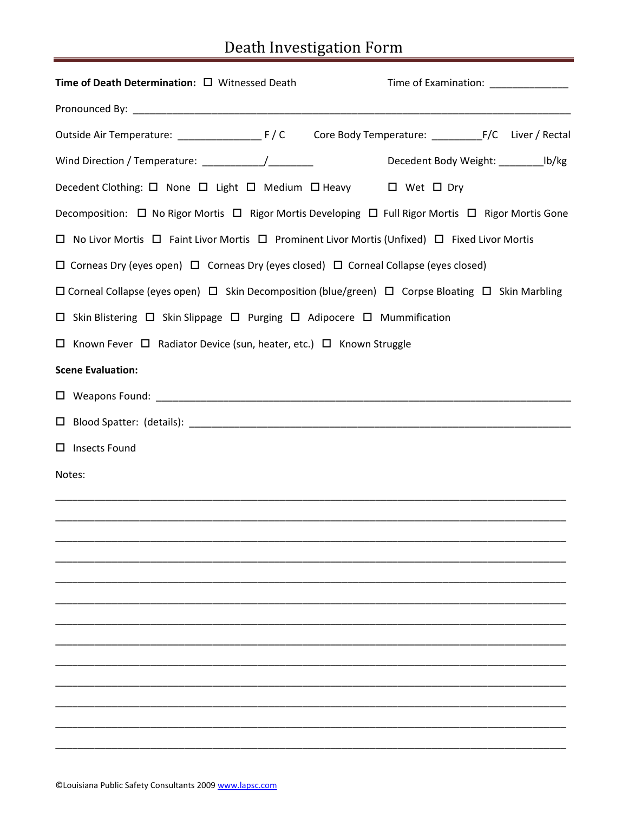# Death Investigation Form

| Time of Death Determination: □ Witnessed Death                                                                         |  | Time of Examination: _____________       |  |
|------------------------------------------------------------------------------------------------------------------------|--|------------------------------------------|--|
|                                                                                                                        |  |                                          |  |
|                                                                                                                        |  |                                          |  |
|                                                                                                                        |  | Decedent Body Weight: ____________ lb/kg |  |
| Decedent Clothing: □ None □ Light □ Medium □ Heavy □ Wet □ Dry                                                         |  |                                          |  |
| Decomposition: $\Box$ No Rigor Mortis $\Box$ Rigor Mortis Developing $\Box$ Full Rigor Mortis $\Box$ Rigor Mortis Gone |  |                                          |  |
| □ No Livor Mortis □ Faint Livor Mortis □ Prominent Livor Mortis (Unfixed) □ Fixed Livor Mortis                         |  |                                          |  |
| $\Box$ Corneas Dry (eyes open) $\Box$ Corneas Dry (eyes closed) $\Box$ Corneal Collapse (eyes closed)                  |  |                                          |  |
| □ Corneal Collapse (eyes open) □ Skin Decomposition (blue/green) □ Corpse Bloating □ Skin Marbling                     |  |                                          |  |
| $\Box$ Skin Blistering $\Box$ Skin Slippage $\Box$ Purging $\Box$ Adipocere $\Box$ Mummification                       |  |                                          |  |
| □ Known Fever □ Radiator Device (sun, heater, etc.) □ Known Struggle                                                   |  |                                          |  |
| <b>Scene Evaluation:</b>                                                                                               |  |                                          |  |
|                                                                                                                        |  |                                          |  |
|                                                                                                                        |  |                                          |  |
| □ Insects Found                                                                                                        |  |                                          |  |
| Notes:                                                                                                                 |  |                                          |  |
|                                                                                                                        |  |                                          |  |
|                                                                                                                        |  |                                          |  |
|                                                                                                                        |  |                                          |  |
|                                                                                                                        |  |                                          |  |
|                                                                                                                        |  |                                          |  |
|                                                                                                                        |  |                                          |  |
|                                                                                                                        |  |                                          |  |
|                                                                                                                        |  |                                          |  |
|                                                                                                                        |  |                                          |  |
|                                                                                                                        |  |                                          |  |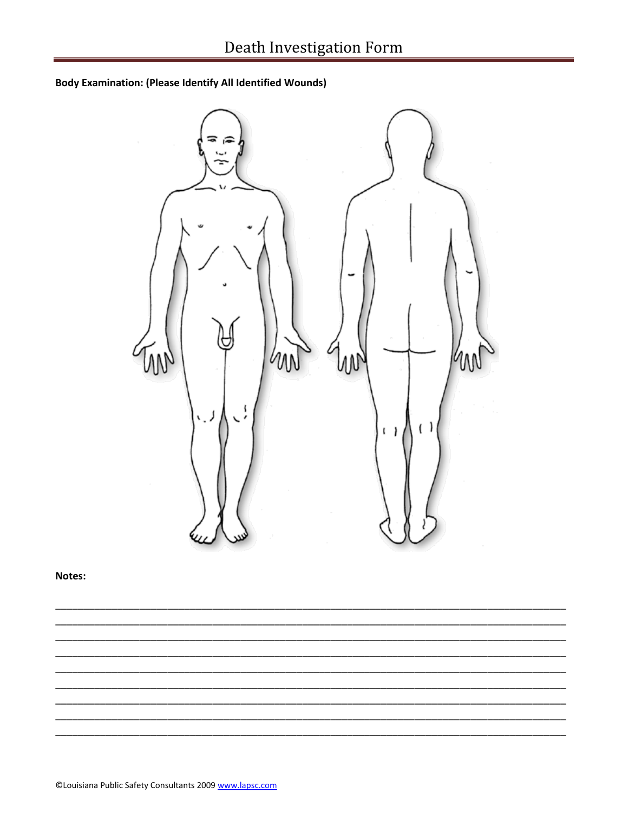**Body Examination: (Please Identify All Identified Wounds)** 



Notes: